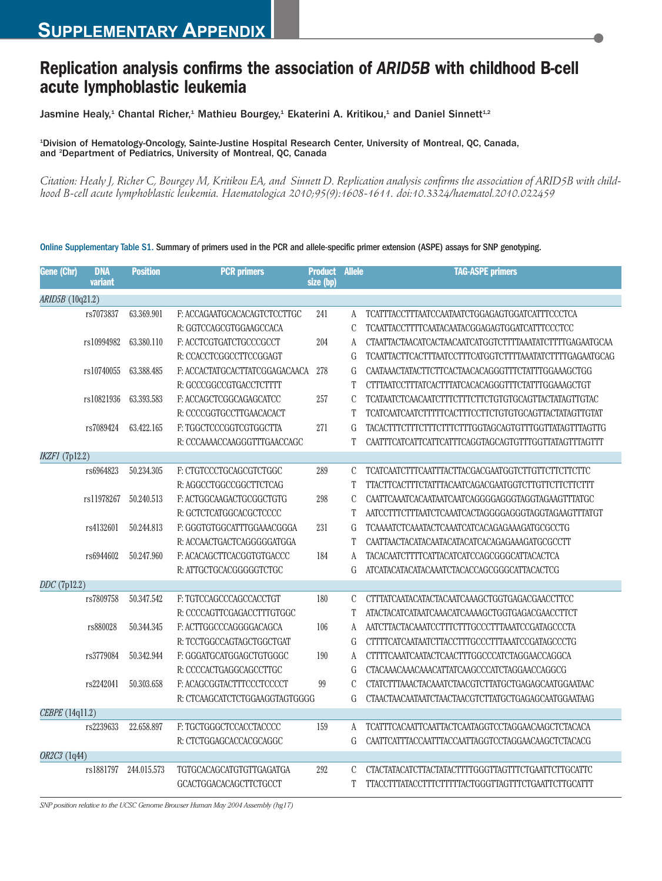## **Replication analysis confirms the association of** *ARID5B* **with childhood B-cell acute lymphoblastic leukemia**

Jasmine Healy,<sup>1</sup> Chantal Richer,<sup>1</sup> Mathieu Bourgey,<sup>1</sup> Ekaterini A. Kritikou,<sup>1</sup> and Daniel Sinnett<sup>1.2</sup>

1 Division of Hematology-Oncology, Sainte-Justine Hospital Research Center, University of Montreal, QC, Canada, and <sup>2</sup>Department of Pediatrics, University of Montreal, QC, Canada

Citation: Healy J, Richer C, Bourgey M, Kritikou EA, and Sinnett D. Replication analysis confirms the association of ARID5B with child*hood B-cell acute lymphoblastic leukemia. Haematologica 2010;95(9):1608-1611. doi:10.3324/haematol.2010.022459*

| Gene (Chr)       | <b>DNA</b><br>variant | <b>Position</b> | <b>PCR</b> primers             | <b>Product</b><br>size (bp) | <b>Allele</b> | <b>TAG-ASPE primers</b>                                  |
|------------------|-----------------------|-----------------|--------------------------------|-----------------------------|---------------|----------------------------------------------------------|
| ARID5B (10q21.2) |                       |                 |                                |                             |               |                                                          |
|                  | rs7073837             | 63.369.901      | F: ACCAGAATGCACACAGTCTCCTTGC   | 241                         | A             | TCATTTACCTTTAATCCAATAATCTGGAGAGTGGATCATTTCCCTCA          |
|                  |                       |                 | R: GGTCCAGCGTGGAAGCCACA        |                             | C             | TCAATTACCTTTTCAATACAATACGGAGAGTGGATCATTTCCCTCC           |
|                  | rs10994982            | 63.380.110      | F: ACCTCGTGATCTGCCCGCCT        | 204                         | A             | CTAATTACTAACATCACTAACAATCATGGTCTTTTAAATATCTTTTGAGAATGCAA |
|                  |                       |                 | R: CCACCTCGGCCTTCCGGAGT        |                             | G             | TCAATTACTTCACTTTAATCCTTTCATGGTCTTTTAAATATCTTTTGAGAATGCAG |
|                  | rs10740055            | 63.388.485      | F: ACCACTATGCACTTATCGGAGACAACA | 278                         | G             | CAATAAACTATACTTCTTCACTAACACAGGGTTTCTATTTGGAAAGCTGG       |
|                  |                       |                 | R: GCCCGGCCGTGACCTCTTTT        |                             | T             | CTTTAATCCTTTATCACTTTATCACACAGGGTTTCTATTTGGAAAGCTGT       |
|                  | rs10821936            | 63.393.583      | F: ACCAGCTCGGCAGAGCATCC        | 257                         | $\mathcal{C}$ | TCATAATCTCAACAATCTTTCTTTCTTCTGTGTGCAGTTACTATAGTTGTAC     |
|                  |                       |                 | R: CCCCGGTGCCTTGAACACACT       |                             | T             | TCATCAATCAATCTTTTTCACTTTCCTTCTGTGTGCAGTTACTATAGTTGTAT    |
|                  | rs7089424             | 63.422.165      | F: TGGCTCCCGGTCGTGGCTTA        | 271                         | G             | TACACTTTCTTTCTTTCTTTCTTTGGTAGCAGTGTTTGGTTATAGTTTAGTTG    |
|                  |                       |                 | R: CCCAAAACCAAGGGTTTGAACCAGC   |                             | T             | CAATTTCATCATTCATTCATTTCAGGTAGCAGTGTTTGGTTATAGTTTAGTTT    |
| IKZF1 (7p12.2)   |                       |                 |                                |                             |               |                                                          |
|                  | rs6964823             | 50.234.305      | F: CTGTCCCTGCAGCGTCTGGC        | 289                         | $\mathbf C$   | TCATCAATCTTTCAATTTACTTACGACGAATGGTCTTGTTCTTCTTCTTC       |
|                  |                       |                 | R: AGGCCTGGCCGGCTTCTCAG        |                             | T             | TTACTTCACTTTCTATTTACAATCAGACGAATGGTCTTGTTCTTCTTTTT       |
|                  | rs11978267            | 50.240.513      | F: ACTGGCAAGACTGCGGCTGTG       | 298                         | $\mathcal{C}$ |                                                          |
|                  |                       |                 | R: GCTCTCATGGCACGCTCCCC        |                             | T             |                                                          |
|                  | rs4132601             | 50.244.813      | F: GGGTGTGGCATTTGGAAACGGGA     | 231                         | G             | TCAAAATCTCAAATACTCAAATCATCACAGAGAAAGATGCGCCTG            |
|                  |                       |                 | R: ACCAACTGACTCAGGGGGATGGA     |                             | T             | CAATTAACTACATACAATACATACATCACAGAGAAAGATGCGCCTT           |
|                  | rs6944602             | 50.247.960      | F: ACACAGCTTCACGGTGTGACCC      | 184                         | A             | TACACAATCTTTTCATTACATCATCCAGCGGGCATTACACTCA              |
|                  |                       |                 | R: ATTGCTGCACGGGGGTCTGC        |                             | G             | ATCATACATACATACAAATCTACACCAGCGGGCATTACACTCG              |
| DDC (7p12.2)     |                       |                 |                                |                             |               |                                                          |
|                  | rs7809758             | 50.347.542      | F: TGTCCAGCCCAGCCACCTGT        | 180                         | C             | CTTTATCAATACATACTACAATCAAAGCTGGTGAGACGAACCTTCC           |
|                  |                       |                 | R: CCCCAGTTCGAGACCTTTGTGGC     |                             | T             | ATACTACATCATAATCAAACATCAAAAGCTGGTGAGACGAACCTTCT          |
|                  | rs880028              | 50.344.345      | F: ACTTGGCCCAGGGGACAGCA        | 106                         | A             | AATCTTACTACAAATCCTTTCTTTGCCCTTTAAATCCGATAGCCCTA          |
|                  |                       |                 | R: TCCTGGCCAGTAGCTGGCTGAT      |                             | G             | CTTTTCATCAATAATCTTACCTTTGCCCTTTAAATCCGATAGCCCTG          |
|                  | rs3779084             | 50.342.944      | F: GGGATGCATGGAGCTGTGGGC       | 190                         | A             | CTTTTCAAATCAATACTCAACTTTGGCCCATCTAGGAACCAGGCA            |
|                  |                       |                 | R: CCCCACTGAGGCAGCCTTGC        |                             | G             | CTACAAACAAACAAACATTATCAAGCCCATCTAGGAACCAGGCG             |
|                  | rs2242041             | 50.303.658      | F: ACAGCGGTACTTTCCCTCCCCT      | 99                          | $\mathcal{C}$ | CTATCTTTAAACTACAAATCTAACGTCTTATGCTGAGAGCAATGGAATAAC      |
|                  |                       |                 | R: CTCAAGCATCTCTGGAAGGTAGTGGGG |                             | G             | CTAACTAACAATAATCTAACTAACGTCTTATGCTGAGAGCAATGGAATAAG      |
| CEBPE (14q11.2)  |                       |                 |                                |                             |               |                                                          |
|                  | rs2239633             | 22.658.897      | F: TGCTGGGCTCCACCTACCCC        | 159                         | A             | TCATTTCACAATTCAATTACTCAATAGGTCCTAGGAACAAGCTCTACACA       |
|                  |                       |                 | R: CTCTGGAGCACCACGCAGGC        |                             | ${\rm G}$     | CAATTCATTTACCAATTTACCAATTAGGTCCTAGGAACAAGCTCTACACG       |
| OR2C3 (1q44)     |                       |                 |                                |                             |               |                                                          |
|                  | rs1881797             | 244.015.573     | TGTGCACAGCATGTGTTGAGATGA       | 292                         | C             | CTACTATACATCTTACTATACTTTTGGGTTAGTTTCTGAATTCTTGCATTC      |
|                  |                       |                 | GCACTGGACACAGCTTCTGCCT         |                             | T             | TTACCTTTATACCTTTCTTTTTACTGGGTTAGTTTCTGAATTCTTGCATTT      |

Online Supplementary Table S1. Summary of primers used in the PCR and allele-specific primer extension (ASPE) assays for SNP genotyping.

*SNP position relative to the UCSC Genome Browser Human May 2004 Assembly (hg17)*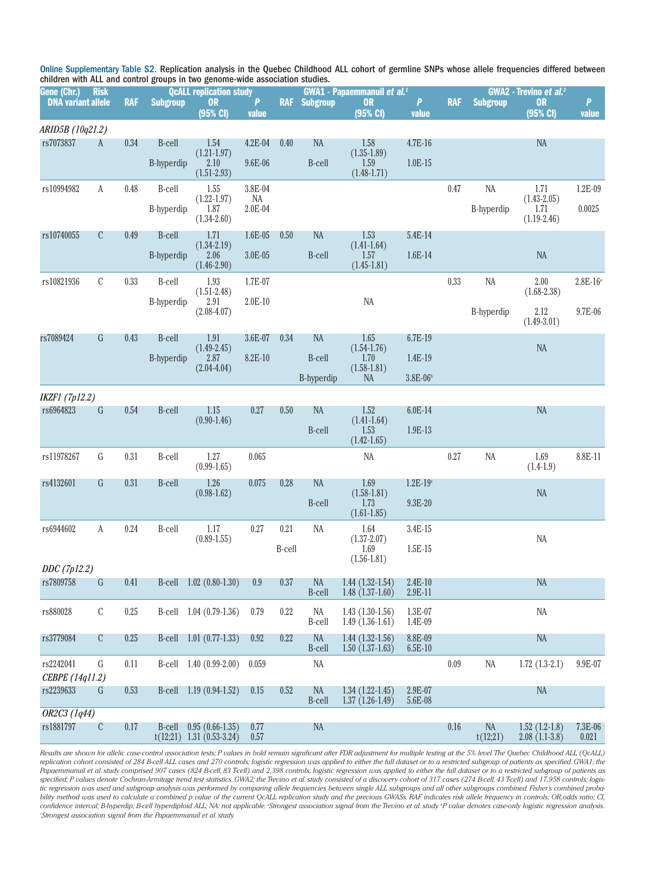Online Supplementary Table S2. Replication analysis in the Quebec Childhood ALL cohort of germline SNPs whose allele frequencies differed between children with ALL and control groups in two genome-wide association studies.

| Gene (Chr.)                  | <b>Risk</b>    |            | <b>QcALL replication study</b> |                                                    |               |        |                            |                                            | <b>GWA1 - Papaemmanuil et al.</b> <sup>1</sup> |            |                      | GWA2 - Trevino et al. <sup>2</sup>       |                       |  |  |
|------------------------------|----------------|------------|--------------------------------|----------------------------------------------------|---------------|--------|----------------------------|--------------------------------------------|------------------------------------------------|------------|----------------------|------------------------------------------|-----------------------|--|--|
| <b>DNA variant allele</b>    |                | <b>RAF</b> | <b>Subgroup</b>                | <b>OR</b><br>(95% C)                               | P<br>value    |        | <b>RAF</b> Subgroup        | <b>OR</b><br>(95% C)                       | P<br>value                                     | <b>RAF</b> | <b>Subgroup</b>      | <b>OR</b><br>(95% CI)                    | $\mathbf{P}$<br>value |  |  |
| ARID5B (10q21.2)             |                |            |                                |                                                    |               |        |                            |                                            |                                                |            |                      |                                          |                       |  |  |
| rs7073837                    | A              | 0.34       | <b>B-cell</b>                  | 1.54                                               | $4.2E-04$     | 0.40   | <b>NA</b>                  | 1.58                                       | $4.7E-16$                                      |            |                      | $\rm NA$                                 |                       |  |  |
|                              |                |            | <b>B-hyperdip</b>              | $(1.21 - 1.97)$<br>2.10<br>$(1.51 - 2.93)$         | 9.6E-06       |        | <b>B-cell</b>              | $(1.35 - 1.89)$<br>1.59<br>$(1.48 - 1.71)$ | $1.0E-15$                                      |            |                      |                                          |                       |  |  |
| rs10994982                   | A              | 0.48       | B-cell                         | 1.55                                               | 3.8E-04       |        |                            |                                            |                                                | $0.47\,$   | NA                   | 1.71                                     | 1.2E-09               |  |  |
|                              |                |            | B-hyperdip                     | $(1.22 - 1.97)$<br>1.87<br>$(1.34 - 2.60)$         | NA<br>2.0E-04 |        |                            |                                            |                                                |            | B-hyperdip           | $(1.43 - 2.05)$<br>1.71<br>$(1.19-2.46)$ | 0.0025                |  |  |
| rs10740055                   | C              | 0.49       | <b>B-cell</b>                  | 1.71                                               | $1.6E-05$     | 0.50   | <b>NA</b>                  | 1.53                                       | 5.4E-14                                        |            |                      |                                          |                       |  |  |
|                              |                |            | <b>B-hyperdip</b>              | $(1.34 - 2.19)$<br>2.06<br>$(1.46 - 2.90)$         | $3.0E - 05$   |        | B-cell                     | $(1.41 - 1.64)$<br>1.57<br>$(1.45 - 1.81)$ | $1.6E-14$                                      |            |                      | <b>NA</b>                                |                       |  |  |
| rs10821936                   | $\mathbf C$    | 0.33       | B-cell                         | 1.93                                               | 1.7E-07       |        |                            |                                            |                                                | 0.33       | $\rm NA$             | 2.00                                     | $2.8E-16^{\circ}$     |  |  |
|                              |                |            | B-hyperdip                     | $(1.51 - 2.48)$<br>2.91                            | $2.0E-10$     |        |                            | $\rm NA$                                   |                                                |            | $(1.68 - 2.38)$      |                                          |                       |  |  |
|                              |                |            |                                | $(2.08 - 4.07)$                                    |               |        |                            |                                            |                                                |            | B-hyperdip           | 2.12<br>$(1.49 - 3.01)$                  | 9.7E-06               |  |  |
| rs7089424                    | G              | 0.43       | B-cell                         | 1.91<br>$(1.49 - 2.45)$                            | 3.6E-07       | 0.34   | <b>NA</b>                  | 1.65<br>$(1.54 - 1.76)$                    | 6.7E-19                                        |            |                      | <b>NA</b>                                |                       |  |  |
|                              |                |            | <b>B-hyperdip</b>              | 2.87                                               | 8.2E-10       |        | <b>B-cell</b>              | 1.70                                       | 1.4E-19                                        |            |                      |                                          |                       |  |  |
|                              |                |            |                                | $(2.04-4.04)$                                      |               |        | B-hyperdip                 | $(1.58 - 1.81)$<br>NA                      | $3.8E\text{-}06^{\mathrm{b}}$                  |            |                      |                                          |                       |  |  |
| <b>IKZF1</b> (7p12.2)        |                |            |                                |                                                    |               |        |                            |                                            |                                                |            |                      |                                          |                       |  |  |
| rs6964823                    | $\mathbf G$    | 0.54       | <b>B-cell</b>                  | 1.15                                               | 0.27          | 0.50   | <b>NA</b>                  | 1.52                                       | 6.0E-14                                        |            |                      | <b>NA</b>                                |                       |  |  |
|                              |                |            |                                | $(0.90-1.46)$                                      |               |        | <b>B-cell</b>              | $(1.41 - 1.64)$<br>1.53<br>$(1.42 - 1.65)$ | 1.9E-13                                        |            |                      |                                          |                       |  |  |
| rs11978267                   | G              | 0.31       | B-cell                         | 1.27<br>$(0.99-1.65)$                              | 0.065         |        |                            | <b>NA</b>                                  |                                                | 0.27       | $\rm NA$             | 1.69<br>$(1.4-1.9)$                      | 8.8E-11               |  |  |
| rs4132601                    | G              | 0.31       | B-cell                         | 1.26                                               | 0.075         | 0.28   | <b>NA</b>                  | 1.69                                       | $1.2E - 19$ <sup>c</sup>                       |            |                      |                                          |                       |  |  |
|                              |                |            |                                | $(0.98 - 1.62)$                                    |               |        | <b>B-cell</b>              | $(1.58 - 1.81)$<br>1.73<br>$(1.61 - 1.85)$ | 9.3E-20                                        |            |                      | $\rm NA$                                 |                       |  |  |
| rs6944602                    | A              | 0.24       | B-cell                         | 1.17                                               | 0.27          | 0.21   | NA                         | 1.64                                       | 3.4E-15                                        |            |                      |                                          |                       |  |  |
|                              |                |            |                                | $(0.89-1.55)$                                      |               | B-cell |                            | $(1.37 - 2.07)$<br>1.69                    | $1.5E-15$                                      |            |                      | $\rm NA$                                 |                       |  |  |
| DDC (7p12.2)                 |                |            |                                |                                                    |               |        |                            | $(1.56 - 1.81)$                            |                                                |            |                      |                                          |                       |  |  |
| rs7809758                    | $\mathbf{G}$   | 0.41       | B-cell                         | $1.02(0.80-1.30)$                                  | 0.9           | 0.37   | NA<br><b>B-cell</b>        | $1.44(1.32-1.54)$<br>$1.48(1.37-1.60)$     | $2.4E-10$<br>2.9E-11                           |            |                      | NA                                       |                       |  |  |
| rs880028                     | C              | 0.25       |                                | B-cell 1.04 (0.79-1.36)                            | 0.79          | 0.22   | NA<br><b>B-cell</b>        | $1.43(1.30-1.56)$<br>$1.49(1.36-1.61)$     | 1.3E-07<br>1.4E-09                             |            |                      | NA                                       |                       |  |  |
| rs3779084                    | $\mathfrak{C}$ | 0.25       |                                | B-cell 1.01 (0.77-1.33)                            | 0.92          | 0.22   | <b>NA</b><br>B-cell        | $1.44(1.32-1.56)$<br>$1.50(1.37-1.63)$     | 8.8E-09<br>$6.5E-10$                           |            |                      | <b>NA</b>                                |                       |  |  |
| rs2242041<br>CEBPE (14q11.2) | G              | 0.11       |                                | B-cell $1.40(0.99-2.00)$                           | 0.059         |        | NA                         |                                            |                                                | 0.09       | NA                   | $1.72(1.3-2.1)$                          | 9.9E-07               |  |  |
| rs2239633                    | G              | 0.53       |                                | B-cell $1.19(0.94-1.52)$                           | 0.15          | 0.52   | <b>NA</b><br><b>B-cell</b> | $1.34(1.22-1.45)$<br>$1.37(1.26-1.49)$     | 2.9E-07<br>5.6E-08                             |            |                      | <b>NA</b>                                |                       |  |  |
| OR2C3 (1q44)                 |                |            |                                |                                                    |               |        |                            |                                            |                                                |            |                      |                                          |                       |  |  |
| rs1881797                    | $\mathbf C$    | 0.17       | B-cell                         | $0.95(0.66-1.35)$<br>$t(12;21)$ 1.31 $(0.53-3.24)$ | 0.77<br>0.57  |        | NA                         |                                            |                                                | 0.16       | $\rm NA$<br>t(12;21) | $1.52(1.2-1.8)$<br>$2.08(1.1-3.8)$       | 7.3E-06<br>0.021      |  |  |

Results are shown for allelic case-control association tests; P values in bold remain significant after FDR adjustment for multiple testing at the 5% level. The Quebec Childhood ALL (QcALL) replication cohort consisted of 284 B-cell ALL cases and 270 controls; logistic regression was applied to either the full dataset or to a restricted subgroup of patients as specified. GWA1; the Papaemmanuil et al. study comprised 907 cases (824 B-cell, 83 T-cell) and 2,398 controls; logistic regression was applied to either the full dataset or to a restricted subgroup of patients as specified; P values denote Cochran Armitage trend test statistics. GWA2; the Trevino et al. study consisted of a discovery cohort of 317 cases (274 B cell, 43 Tcell) and 17,958 controls; logistic regression was used and subgroup analysis was performed by comparing allele frequencies between single ALL subgroups and all other subgroups combined. Fisher's combined proba bility method was used to calculate a combined p value of the current QcALL replication study and the previous GWASs. RAF indicates risk allele frequency in controls; OR,odds ratio; CI, confidence interval; B-hyperdip; B-cell hyperdiploid ALL; NA: not applicable. Strongest association signal from the Trevino et al. study. P value denotes case-only logistic regression analysis. *c Strongest association signal from the Papaemmanuil et al. study.*